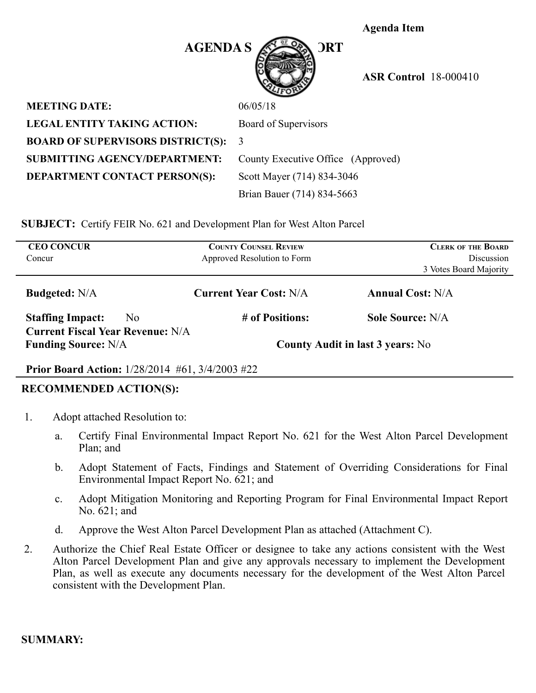**Agenda Item** 

(Approved)



 **ASR Control** 18-000410

| <b>MEETING DATE:</b>                     | 06/05/18                   |
|------------------------------------------|----------------------------|
| LEGAL ENTITY TAKING ACTION:              | Board of Supervisors       |
| <b>BOARD OF SUPERVISORS DISTRICT(S):</b> | -3                         |
| <b>SUBMITTING AGENCY/DEPARTMENT:</b>     | County Executive Office (A |
| <b>DEPARTMENT CONTACT PERSON(S):</b>     | Scott Mayer (714) 834-3046 |
|                                          | Brian Bauer (714) 834-5663 |

**SUBJECT:** Certify FEIR No. 621 and Development Plan for West Alton Parcel

| <b>CEO CONCUR</b><br>Concur                                           |     | <b>COUNTY COUNSEL REVIEW</b><br>Approved Resolution to Form | <b>CLERK OF THE BOARD</b><br><b>Discussion</b> |  |
|-----------------------------------------------------------------------|-----|-------------------------------------------------------------|------------------------------------------------|--|
|                                                                       |     |                                                             | 3 Votes Board Majority                         |  |
| <b>Budgeted:</b> N/A                                                  |     | <b>Current Year Cost: N/A</b>                               | <b>Annual Cost: N/A</b>                        |  |
| <b>Staffing Impact:</b>                                               | No. | # of Positions:                                             | <b>Sole Source: N/A</b>                        |  |
| <b>Current Fiscal Year Revenue: N/A</b><br><b>Funding Source: N/A</b> |     | <b>County Audit in last 3 years:</b> No                     |                                                |  |

#### **Prior Board Action:** 1/28/2014 #61, 3/4/2003 #22

#### **RECOMMENDED ACTION(S):**

- 1. Adopt attached Resolution to:
	- a. Certify Final Environmental Impact Report No. 621 for the West Alton Parcel Development Plan; and
	- b. Adopt Statement of Facts, Findings and Statement of Overriding Considerations for Final Environmental Impact Report No. 621; and
	- c. Adopt Mitigation Monitoring and Reporting Program for Final Environmental Impact Report No. 621; and
	- d. Approve the West Alton Parcel Development Plan as attached (Attachment C).
- 2. Authorize the Chief Real Estate Officer or designee to take any actions consistent with the West Alton Parcel Development Plan and give any approvals necessary to implement the Development Plan, as well as execute any documents necessary for the development of the West Alton Parcel consistent with the Development Plan.

### **SUMMARY:**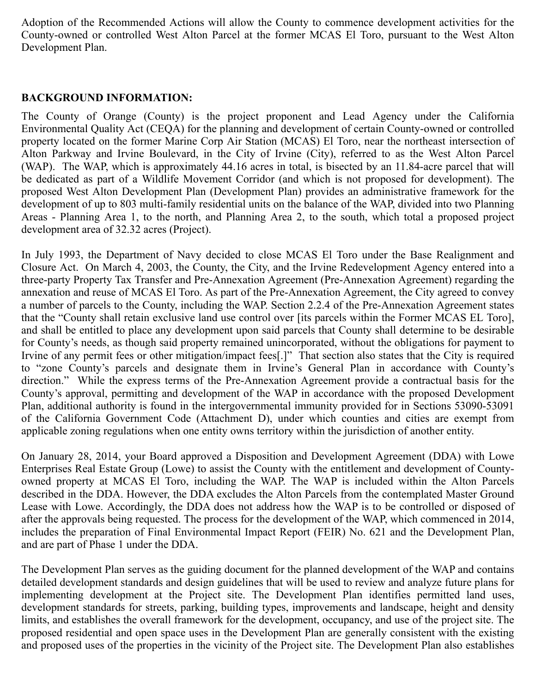Adoption of the Recommended Actions will allow the County to commence development activities for the County-owned or controlled West Alton Parcel at the former MCAS El Toro, pursuant to the West Alton Development Plan.

## **BACKGROUND INFORMATION:**

The County of Orange (County) is the project proponent and Lead Agency under the California Environmental Quality Act (CEQA) for the planning and development of certain County-owned or controlled property located on the former Marine Corp Air Station (MCAS) El Toro, near the northeast intersection of Alton Parkway and Irvine Boulevard, in the City of Irvine (City), referred to as the West Alton Parcel (WAP). The WAP, which is approximately 44.16 acres in total, is bisected by an 11.84-acre parcel that will be dedicated as part of a Wildlife Movement Corridor (and which is not proposed for development). The proposed West Alton Development Plan (Development Plan) provides an administrative framework for the development of up to 803 multi-family residential units on the balance of the WAP, divided into two Planning Areas - Planning Area 1, to the north, and Planning Area 2, to the south, which total a proposed project development area of 32.32 acres (Project).

In July 1993, the Department of Navy decided to close MCAS El Toro under the Base Realignment and Closure Act. On March 4, 2003, the County, the City, and the Irvine Redevelopment Agency entered into a three-party Property Tax Transfer and Pre-Annexation Agreement (Pre-Annexation Agreement) regarding the annexation and reuse of MCAS El Toro. As part of the Pre-Annexation Agreement, the City agreed to convey a number of parcels to the County, including the WAP. Section 2.2.4 of the Pre-Annexation Agreement states that the "County shall retain exclusive land use control over [its parcels within the Former MCAS EL Toro], and shall be entitled to place any development upon said parcels that County shall determine to be desirable for County's needs, as though said property remained unincorporated, without the obligations for payment to Irvine of any permit fees or other mitigation/impact fees[.]" That section also states that the City is required to "zone County's parcels and designate them in Irvine's General Plan in accordance with County's direction." While the express terms of the Pre-Annexation Agreement provide a contractual basis for the County's approval, permitting and development of the WAP in accordance with the proposed Development Plan, additional authority is found in the intergovernmental immunity provided for in Sections 53090-53091 of the California Government Code (Attachment D), under which counties and cities are exempt from applicable zoning regulations when one entity owns territory within the jurisdiction of another entity.

On January 28, 2014, your Board approved a Disposition and Development Agreement (DDA) with Lowe Enterprises Real Estate Group (Lowe) to assist the County with the entitlement and development of Countyowned property at MCAS El Toro, including the WAP. The WAP is included within the Alton Parcels described in the DDA. However, the DDA excludes the Alton Parcels from the contemplated Master Ground Lease with Lowe. Accordingly, the DDA does not address how the WAP is to be controlled or disposed of after the approvals being requested. The process for the development of the WAP, which commenced in 2014, includes the preparation of Final Environmental Impact Report (FEIR) No. 621 and the Development Plan, and are part of Phase 1 under the DDA.

The Development Plan serves as the guiding document for the planned development of the WAP and contains detailed development standards and design guidelines that will be used to review and analyze future plans for implementing development at the Project site. The Development Plan identifies permitted land uses, development standards for streets, parking, building types, improvements and landscape, height and density limits, and establishes the overall framework for the development, occupancy, and use of the project site. The proposed residential and open space uses in the Development Plan are generally consistent with the existing and proposed uses of the properties in the vicinity of the Project site. The Development Plan also establishes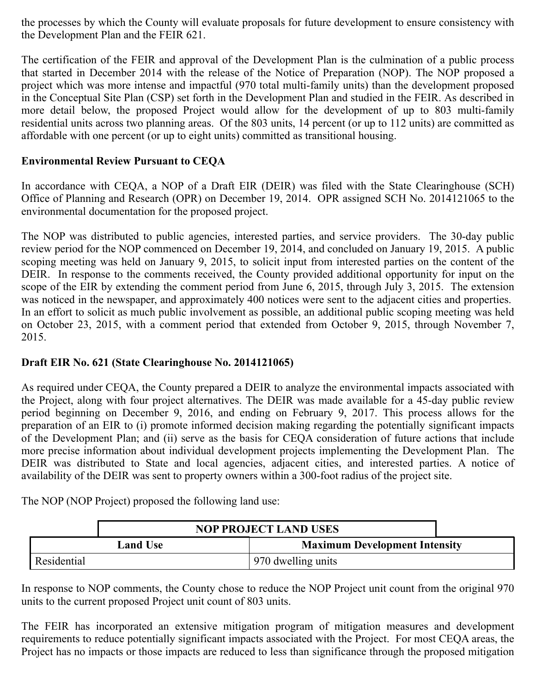the processes by which the County will evaluate proposals for future development to ensure consistency with the Development Plan and the FEIR 621.

The certification of the FEIR and approval of the Development Plan is the culmination of a public process that started in December 2014 with the release of the Notice of Preparation (NOP). The NOP proposed a project which was more intense and impactful (970 total multi-family units) than the development proposed in the Conceptual Site Plan (CSP) set forth in the Development Plan and studied in the FEIR. As described in more detail below, the proposed Project would allow for the development of up to 803 multi-family residential units across two planning areas. Of the 803 units, 14 percent (or up to 112 units) are committed as affordable with one percent (or up to eight units) committed as transitional housing.

# **Environmental Review Pursuant to CEQA**

In accordance with CEQA, a NOP of a Draft EIR (DEIR) was filed with the State Clearinghouse (SCH) Office of Planning and Research (OPR) on December 19, 2014. OPR assigned SCH No. 2014121065 to the environmental documentation for the proposed project.

The NOP was distributed to public agencies, interested parties, and service providers. The 30-day public review period for the NOP commenced on December 19, 2014, and concluded on January 19, 2015. A public scoping meeting was held on January 9, 2015, to solicit input from interested parties on the content of the DEIR. In response to the comments received, the County provided additional opportunity for input on the scope of the EIR by extending the comment period from June 6, 2015, through July 3, 2015. The extension was noticed in the newspaper, and approximately 400 notices were sent to the adjacent cities and properties. In an effort to solicit as much public involvement as possible, an additional public scoping meeting was held on October 23, 2015, with a comment period that extended from October 9, 2015, through November 7, 2015.

# **Draft EIR No. 621 (State Clearinghouse No. 2014121065)**

As required under CEQA, the County prepared a DEIR to analyze the environmental impacts associated with the Project, along with four project alternatives. The DEIR was made available for a 45-day public review period beginning on December 9, 2016, and ending on February 9, 2017. This process allows for the preparation of an EIR to (i) promote informed decision making regarding the potentially significant impacts of the Development Plan; and (ii) serve as the basis for CEQA consideration of future actions that include more precise information about individual development projects implementing the Development Plan. The DEIR was distributed to State and local agencies, adjacent cities, and interested parties. A notice of availability of the DEIR was sent to property owners within a 300-foot radius of the project site.

The NOP (NOP Project) proposed the following land use:

| <b>NOP PROJECT LAND USES</b> |                 |                                      |  |
|------------------------------|-----------------|--------------------------------------|--|
|                              | <b>Land Use</b> | <b>Maximum Development Intensity</b> |  |
| Residential                  |                 | 970 dwelling units                   |  |

In response to NOP comments, the County chose to reduce the NOP Project unit count from the original 970 units to the current proposed Project unit count of 803 units.

The FEIR has incorporated an extensive mitigation program of mitigation measures and development requirements to reduce potentially significant impacts associated with the Project. For most CEQA areas, the Project has no impacts or those impacts are reduced to less than significance through the proposed mitigation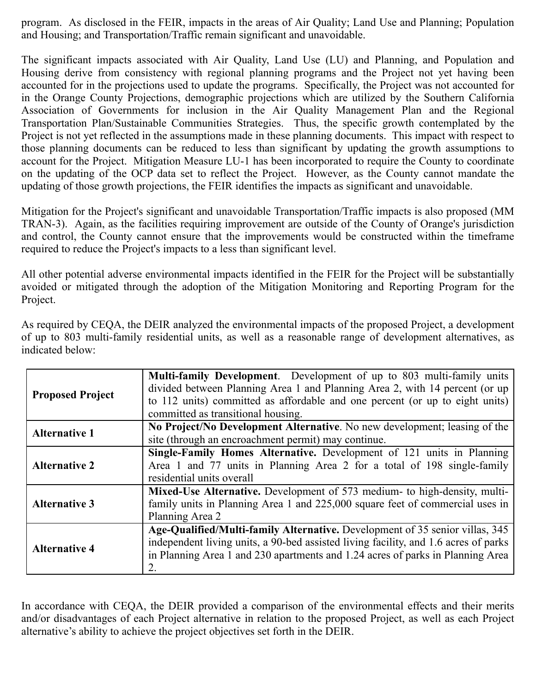program. As disclosed in the FEIR, impacts in the areas of Air Quality; Land Use and Planning; Population and Housing; and Transportation/Traffic remain significant and unavoidable.

The significant impacts associated with Air Quality, Land Use (LU) and Planning, and Population and Housing derive from consistency with regional planning programs and the Project not yet having been accounted for in the projections used to update the programs. Specifically, the Project was not accounted for in the Orange County Projections, demographic projections which are utilized by the Southern California Association of Governments for inclusion in the Air Quality Management Plan and the Regional Transportation Plan/Sustainable Communities Strategies. Thus, the specific growth contemplated by the Project is not yet reflected in the assumptions made in these planning documents. This impact with respect to those planning documents can be reduced to less than significant by updating the growth assumptions to account for the Project. Mitigation Measure LU-1 has been incorporated to require the County to coordinate on the updating of the OCP data set to reflect the Project. However, as the County cannot mandate the updating of those growth projections, the FEIR identifies the impacts as significant and unavoidable.

Mitigation for the Project's significant and unavoidable Transportation/Traffic impacts is also proposed (MM TRAN-3). Again, as the facilities requiring improvement are outside of the County of Orange's jurisdiction and control, the County cannot ensure that the improvements would be constructed within the timeframe required to reduce the Project's impacts to a less than significant level.

All other potential adverse environmental impacts identified in the FEIR for the Project will be substantially avoided or mitigated through the adoption of the Mitigation Monitoring and Reporting Program for the Project.

| <b>Proposed Project</b> | Multi-family Development. Development of up to 803 multi-family units               |
|-------------------------|-------------------------------------------------------------------------------------|
|                         | divided between Planning Area 1 and Planning Area 2, with 14 percent (or up         |
|                         | to 112 units) committed as affordable and one percent (or up to eight units)        |
|                         | committed as transitional housing.                                                  |
| <b>Alternative 1</b>    | No Project/No Development Alternative. No new development; leasing of the           |
|                         | site (through an encroachment permit) may continue.                                 |
| <b>Alternative 2</b>    | Single-Family Homes Alternative. Development of 121 units in Planning               |
|                         | Area 1 and 77 units in Planning Area 2 for a total of 198 single-family             |
|                         | residential units overall                                                           |
| <b>Alternative 3</b>    | Mixed-Use Alternative. Development of 573 medium- to high-density, multi-           |
|                         | family units in Planning Area 1 and 225,000 square feet of commercial uses in       |
|                         | Planning Area 2                                                                     |
| <b>Alternative 4</b>    | Age-Qualified/Multi-family Alternative. Development of 35 senior villas, 345        |
|                         | independent living units, a 90-bed assisted living facility, and 1.6 acres of parks |
|                         | in Planning Area 1 and 230 apartments and 1.24 acres of parks in Planning Area      |
|                         | 2.                                                                                  |

As required by CEQA, the DEIR analyzed the environmental impacts of the proposed Project, a development of up to 803 multi-family residential units, as well as a reasonable range of development alternatives, as indicated below:

In accordance with CEQA, the DEIR provided a comparison of the environmental effects and their merits and/or disadvantages of each Project alternative in relation to the proposed Project, as well as each Project alternative's ability to achieve the project objectives set forth in the DEIR.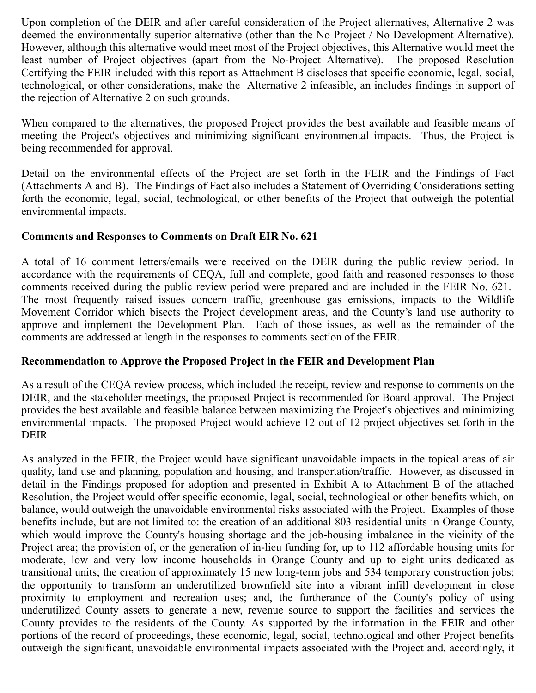Upon completion of the DEIR and after careful consideration of the Project alternatives, Alternative 2 was deemed the environmentally superior alternative (other than the No Project / No Development Alternative). However, although this alternative would meet most of the Project objectives, this Alternative would meet the least number of Project objectives (apart from the No-Project Alternative). The proposed Resolution Certifying the FEIR included with this report as Attachment B discloses that specific economic, legal, social, technological, or other considerations, make the Alternative 2 infeasible, an includes findings in support of the rejection of Alternative 2 on such grounds.

When compared to the alternatives, the proposed Project provides the best available and feasible means of meeting the Project's objectives and minimizing significant environmental impacts. Thus, the Project is being recommended for approval.

Detail on the environmental effects of the Project are set forth in the FEIR and the Findings of Fact (Attachments A and B). The Findings of Fact also includes a Statement of Overriding Considerations setting forth the economic, legal, social, technological, or other benefits of the Project that outweigh the potential environmental impacts.

### **Comments and Responses to Comments on Draft EIR No. 621**

A total of 16 comment letters/emails were received on the DEIR during the public review period. In accordance with the requirements of CEQA, full and complete, good faith and reasoned responses to those comments received during the public review period were prepared and are included in the FEIR No. 621. The most frequently raised issues concern traffic, greenhouse gas emissions, impacts to the Wildlife Movement Corridor which bisects the Project development areas, and the County's land use authority to approve and implement the Development Plan. Each of those issues, as well as the remainder of the comments are addressed at length in the responses to comments section of the FEIR.

#### **Recommendation to Approve the Proposed Project in the FEIR and Development Plan**

As a result of the CEQA review process, which included the receipt, review and response to comments on the DEIR, and the stakeholder meetings, the proposed Project is recommended for Board approval. The Project provides the best available and feasible balance between maximizing the Project's objectives and minimizing environmental impacts. The proposed Project would achieve 12 out of 12 project objectives set forth in the DEIR.

As analyzed in the FEIR, the Project would have significant unavoidable impacts in the topical areas of air quality, land use and planning, population and housing, and transportation/traffic. However, as discussed in detail in the Findings proposed for adoption and presented in Exhibit A to Attachment B of the attached Resolution, the Project would offer specific economic, legal, social, technological or other benefits which, on balance, would outweigh the unavoidable environmental risks associated with the Project. Examples of those benefits include, but are not limited to: the creation of an additional 803 residential units in Orange County, which would improve the County's housing shortage and the job-housing imbalance in the vicinity of the Project area; the provision of, or the generation of in-lieu funding for, up to 112 affordable housing units for moderate, low and very low income households in Orange County and up to eight units dedicated as transitional units; the creation of approximately 15 new long-term jobs and 534 temporary construction jobs; the opportunity to transform an underutilized brownfield site into a vibrant infill development in close proximity to employment and recreation uses; and, the furtherance of the County's policy of using underutilized County assets to generate a new, revenue source to support the facilities and services the County provides to the residents of the County. As supported by the information in the FEIR and other portions of the record of proceedings, these economic, legal, social, technological and other Project benefits outweigh the significant, unavoidable environmental impacts associated with the Project and, accordingly, it